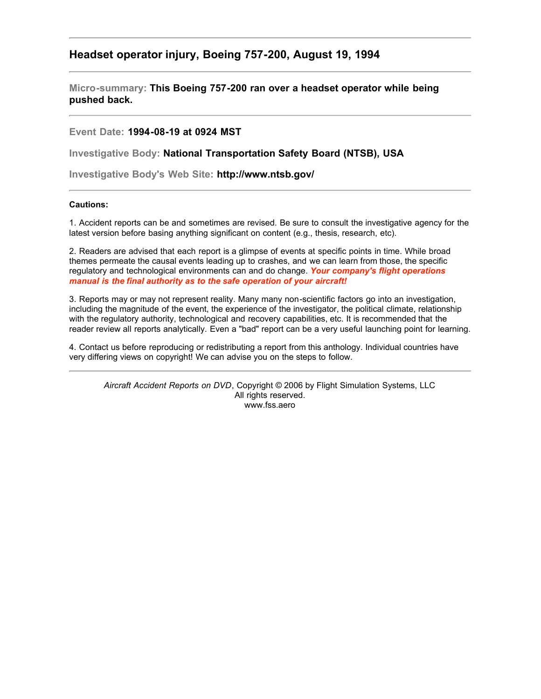# **Headset operator injury, Boeing 757-200, August 19, 1994**

**Micro-summary: This Boeing 757-200 ran over a headset operator while being pushed back.**

## **Event Date: 1994-08-19 at 0924 MST**

**Investigative Body: National Transportation Safety Board (NTSB), USA**

**Investigative Body's Web Site: http://www.ntsb.gov/**

### **Cautions:**

1. Accident reports can be and sometimes are revised. Be sure to consult the investigative agency for the latest version before basing anything significant on content (e.g., thesis, research, etc).

2. Readers are advised that each report is a glimpse of events at specific points in time. While broad themes permeate the causal events leading up to crashes, and we can learn from those, the specific regulatory and technological environments can and do change. *Your company's flight operations manual is the final authority as to the safe operation of your aircraft!*

3. Reports may or may not represent reality. Many many non-scientific factors go into an investigation, including the magnitude of the event, the experience of the investigator, the political climate, relationship with the regulatory authority, technological and recovery capabilities, etc. It is recommended that the reader review all reports analytically. Even a "bad" report can be a very useful launching point for learning.

4. Contact us before reproducing or redistributing a report from this anthology. Individual countries have very differing views on copyright! We can advise you on the steps to follow.

*Aircraft Accident Reports on DVD*, Copyright © 2006 by Flight Simulation Systems, LLC All rights reserved. www.fss.aero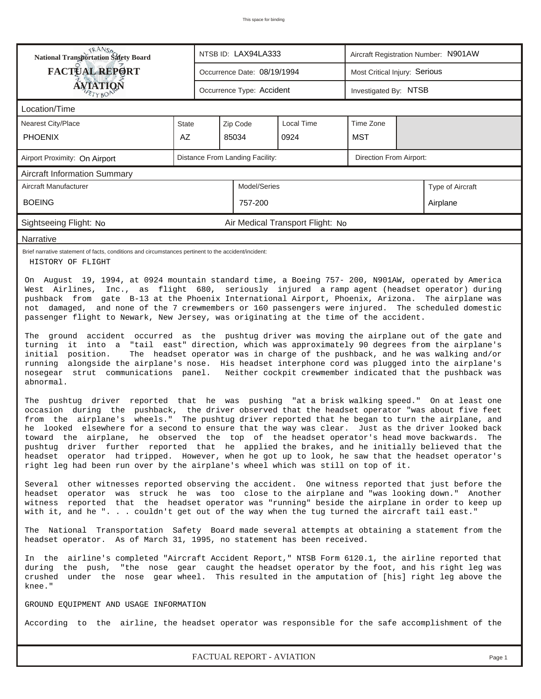| <b>NANSA</b><br>National Transportation Safety Board<br>NTSB ID: LAX94LA333<br>Aircraft Registration Number: N901AW                                                                                                                                                                                                                                                                                                                                                                                                                                                                                                                                                                                                                                                                             |                                              |                             |         |                                  |  |  |          |  |  |  |
|-------------------------------------------------------------------------------------------------------------------------------------------------------------------------------------------------------------------------------------------------------------------------------------------------------------------------------------------------------------------------------------------------------------------------------------------------------------------------------------------------------------------------------------------------------------------------------------------------------------------------------------------------------------------------------------------------------------------------------------------------------------------------------------------------|----------------------------------------------|-----------------------------|---------|----------------------------------|--|--|----------|--|--|--|
| <b>FACTUAL REPORT</b><br>Most Critical Injury: Serious<br>Occurrence Date: 08/19/1994                                                                                                                                                                                                                                                                                                                                                                                                                                                                                                                                                                                                                                                                                                           |                                              |                             |         |                                  |  |  |          |  |  |  |
| <b>ÁVIATION</b><br>Occurrence Type: Accident<br>Investigated By: NTSB                                                                                                                                                                                                                                                                                                                                                                                                                                                                                                                                                                                                                                                                                                                           |                                              |                             |         |                                  |  |  |          |  |  |  |
| Location/Time                                                                                                                                                                                                                                                                                                                                                                                                                                                                                                                                                                                                                                                                                                                                                                                   |                                              |                             |         |                                  |  |  |          |  |  |  |
| <b>Nearest City/Place</b>                                                                                                                                                                                                                                                                                                                                                                                                                                                                                                                                                                                                                                                                                                                                                                       | Local Time<br>Time Zone<br>State<br>Zip Code |                             |         |                                  |  |  |          |  |  |  |
| <b>PHOENIX</b>                                                                                                                                                                                                                                                                                                                                                                                                                                                                                                                                                                                                                                                                                                                                                                                  | AZ                                           | 85034<br>0924<br><b>MST</b> |         |                                  |  |  |          |  |  |  |
| Distance From Landing Facility:<br>Direction From Airport:<br>Airport Proximity: On Airport                                                                                                                                                                                                                                                                                                                                                                                                                                                                                                                                                                                                                                                                                                     |                                              |                             |         |                                  |  |  |          |  |  |  |
| <b>Aircraft Information Summary</b>                                                                                                                                                                                                                                                                                                                                                                                                                                                                                                                                                                                                                                                                                                                                                             |                                              |                             |         |                                  |  |  |          |  |  |  |
| Aircraft Manufacturer<br>Model/Series<br>Type of Aircraft                                                                                                                                                                                                                                                                                                                                                                                                                                                                                                                                                                                                                                                                                                                                       |                                              |                             |         |                                  |  |  |          |  |  |  |
| <b>BOEING</b>                                                                                                                                                                                                                                                                                                                                                                                                                                                                                                                                                                                                                                                                                                                                                                                   |                                              |                             | 757-200 |                                  |  |  | Airplane |  |  |  |
| Sightseeing Flight: No                                                                                                                                                                                                                                                                                                                                                                                                                                                                                                                                                                                                                                                                                                                                                                          |                                              |                             |         | Air Medical Transport Flight: No |  |  |          |  |  |  |
| Narrative                                                                                                                                                                                                                                                                                                                                                                                                                                                                                                                                                                                                                                                                                                                                                                                       |                                              |                             |         |                                  |  |  |          |  |  |  |
| Brief narrative statement of facts, conditions and circumstances pertinent to the accident/incident:<br>HISTORY OF FLIGHT                                                                                                                                                                                                                                                                                                                                                                                                                                                                                                                                                                                                                                                                       |                                              |                             |         |                                  |  |  |          |  |  |  |
| On August 19, 1994, at 0924 mountain standard time, a Boeing 757- 200, N901AW, operated by America<br>West Airlines, Inc., as flight 680, seriously injured a ramp agent (headset operator) during<br>pushback from gate B-13 at the Phoenix International Airport, Phoenix, Arizona. The airplane was<br>not damaged, and none of the 7 crewmembers or 160 passengers were injured. The scheduled domestic<br>passenger flight to Newark, New Jersey, was originating at the time of the accident.                                                                                                                                                                                                                                                                                             |                                              |                             |         |                                  |  |  |          |  |  |  |
| The ground accident occurred as the pushtug driver was moving the airplane out of the gate and<br>turning it into a "tail east" direction, which was approximately 90 degrees from the airplane's<br>initial position.<br>The headset operator was in charge of the pushback, and he was walking and/or<br>running alongside the airplane's nose. His headset interphone cord was plugged into the airplane's<br>nosegear strut communications panel. Neither cockpit crewmember indicated that the pushback was<br>abnormal.                                                                                                                                                                                                                                                                   |                                              |                             |         |                                  |  |  |          |  |  |  |
| The pushtug driver reported that he was pushing "at a brisk walking speed." On at least one<br>occasion during the pushback, the driver observed that the headset operator "was about five feet<br>from the airplane's wheels." The pushtug driver reported that he began to turn the airplane, and<br>he looked elsewhere for a second to ensure that the way was clear. Just as the driver looked back<br>toward the airplane, he observed the top of the headset operator's head move backwards.<br>pushtug driver further reported that he applied the brakes, and he initially believed that the<br>headset operator had tripped. However, when he got up to look, he saw that the headset operator's<br>right leg had been run over by the airplane's wheel which was still on top of it. |                                              |                             |         |                                  |  |  |          |  |  |  |
| Several other witnesses reported observing the accident. One witness reported that just before the<br>headset operator was struck he was too close to the airplane and "was looking down." Another<br>witness reported that the headset operator was "running" beside the airplane in order to keep up<br>with it, and he ". couldn't get out of the way when the tug turned the aircraft tail east."                                                                                                                                                                                                                                                                                                                                                                                           |                                              |                             |         |                                  |  |  |          |  |  |  |
| The National Transportation Safety Board made several attempts at obtaining a statement from the<br>headset operator. As of March 31, 1995, no statement has been received.                                                                                                                                                                                                                                                                                                                                                                                                                                                                                                                                                                                                                     |                                              |                             |         |                                  |  |  |          |  |  |  |
| In the airline's completed "Aircraft Accident Report," NTSB Form 6120.1, the airline reported that<br>during the push, "the nose gear caught the headset operator by the foot, and his right leg was<br>crushed under the nose gear wheel. This resulted in the amputation of [his] right leg above the<br>knee."                                                                                                                                                                                                                                                                                                                                                                                                                                                                               |                                              |                             |         |                                  |  |  |          |  |  |  |
| GROUND EQUIPMENT AND USAGE INFORMATION                                                                                                                                                                                                                                                                                                                                                                                                                                                                                                                                                                                                                                                                                                                                                          |                                              |                             |         |                                  |  |  |          |  |  |  |
| According to the airline, the headset operator was responsible for the safe accomplishment of the                                                                                                                                                                                                                                                                                                                                                                                                                                                                                                                                                                                                                                                                                               |                                              |                             |         |                                  |  |  |          |  |  |  |
| FACTUAL REPORT - AVIATION<br>Page 1                                                                                                                                                                                                                                                                                                                                                                                                                                                                                                                                                                                                                                                                                                                                                             |                                              |                             |         |                                  |  |  |          |  |  |  |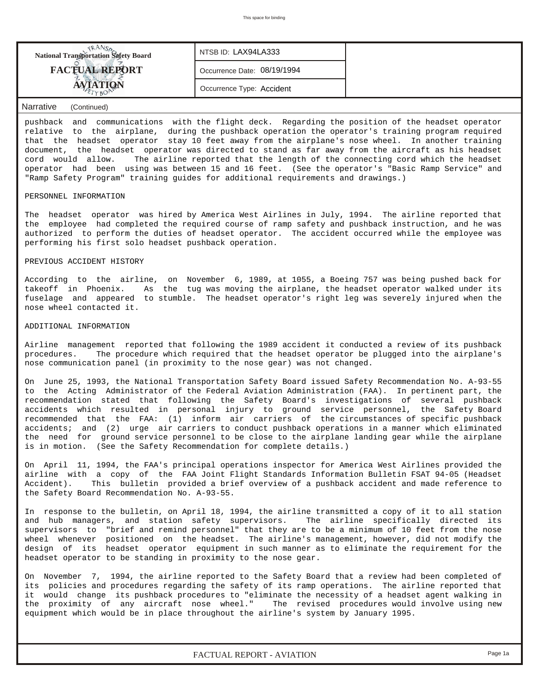| <b>FACTUAL REPORT</b><br>Occurrence Date: 08/19/1994 | NTSB ID: LAX94LA333 |  |  |  |  |  | <b>National Transportation Safety Board</b> |  |
|------------------------------------------------------|---------------------|--|--|--|--|--|---------------------------------------------|--|
|                                                      |                     |  |  |  |  |  |                                             |  |
| Occurrence Type: Accident                            |                     |  |  |  |  |  |                                             |  |

#### *Narrative (Continued)*

pushback and communications with the flight deck. Regarding the position of the headset operator relative to the airplane, during the pushback operation the operator's training program required that the headset operator stay 10 feet away from the airplane's nose wheel. In another training document, the headset operator was directed to stand as far away from the aircraft as his headset cord would allow. The airline reported that the length of the connecting cord which the headset operator had been using was between 15 and 16 feet. (See the operator's "Basic Ramp Service" and "Ramp Safety Program" training guides for additional requirements and drawings.)

#### PERSONNEL INFORMATION

The headset operator was hired by America West Airlines in July, 1994. The airline reported that the employee had completed the required course of ramp safety and pushback instruction, and he was authorized to perform the duties of headset operator. The accident occurred while the employee was performing his first solo headset pushback operation.

#### PREVIOUS ACCIDENT HISTORY

According to the airline, on November 6, 1989, at 1055, a Boeing 757 was being pushed back for takeoff in Phoenix. As the tug was moving the airplane, the headset operator walked under its fuselage and appeared to stumble. The headset operator's right leg was severely injured when the nose wheel contacted it.

#### ADDITIONAL INFORMATION

Airline management reported that following the 1989 accident it conducted a review of its pushback procedures. The procedure which required that the headset operator be plugged into the airplane's nose communication panel (in proximity to the nose gear) was not changed.

On June 25, 1993, the National Transportation Safety Board issued Safety Recommendation No. A-93-55 to the Acting Administrator of the Federal Aviation Administration (FAA). In pertinent part, the recommendation stated that following the Safety Board's investigations of several pushback accidents which resulted in personal injury to ground service personnel, the Safety Board recommended that the FAA: (1) inform air carriers of the circumstances of specific pushback accidents; and (2) urge air carriers to conduct pushback operations in a manner which eliminated the need for ground service personnel to be close to the airplane landing gear while the airplane is in motion. (See the Safety Recommendation for complete details.)

On April 11, 1994, the FAA's principal operations inspector for America West Airlines provided the airline with a copy of the FAA Joint Flight Standards Information Bulletin FSAT 94-05 (Headset Accident). This bulletin provided a brief overview of a pushback accident and made reference to the Safety Board Recommendation No. A-93-55.

In response to the bulletin, on April 18, 1994, the airline transmitted a copy of it to all station and hub managers, and station safety supervisors. The airline specifically directed its supervisors to "brief and remind personnel" that they are to be a minimum of 10 feet from the nose wheel whenever positioned on the headset. The airline's management, however, did not modify the design of its headset operator equipment in such manner as to eliminate the requirement for the headset operator to be standing in proximity to the nose gear.

On November 7, 1994, the airline reported to the Safety Board that a review had been completed of its policies and procedures regarding the safety of its ramp operations. The airline reported that it would change its pushback procedures to "eliminate the necessity of a headset agent walking in the proximity of any aircraft nose wheel." The revised procedures would involve using new equipment which would be in place throughout the airline's system by January 1995.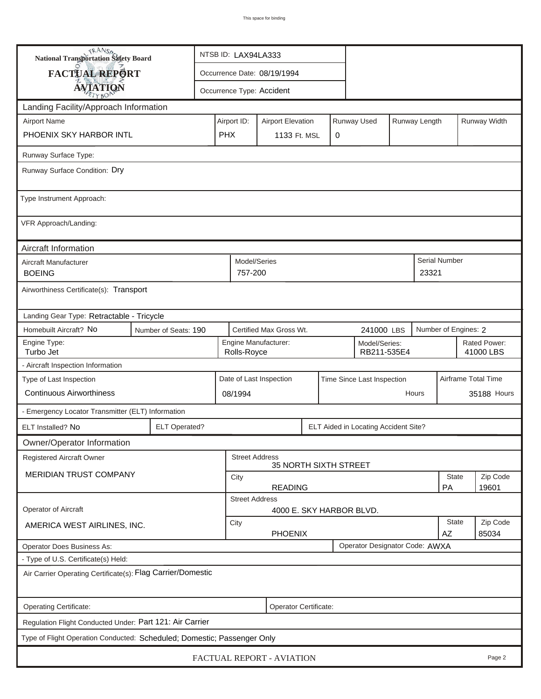| <b>National Transportation Safety Board</b>                             |                                                                     | NTSB ID: LAX94LA333         |                                                                         |                              |            |  |                                      |                      |                   |               |                     |  |
|-------------------------------------------------------------------------|---------------------------------------------------------------------|-----------------------------|-------------------------------------------------------------------------|------------------------------|------------|--|--------------------------------------|----------------------|-------------------|---------------|---------------------|--|
| FACTUAL REPORT                                                          |                                                                     | Occurrence Date: 08/19/1994 |                                                                         |                              |            |  |                                      |                      |                   |               |                     |  |
| <b>AVIATION</b>                                                         |                                                                     | Occurrence Type: Accident   |                                                                         |                              |            |  |                                      |                      |                   |               |                     |  |
| Landing Facility/Approach Information                                   |                                                                     |                             |                                                                         |                              |            |  |                                      |                      |                   |               |                     |  |
| <b>Airport Name</b>                                                     |                                                                     |                             | Runway Used<br>Airport ID:<br>Runway Length<br><b>Airport Elevation</b> |                              |            |  |                                      |                      |                   |               | Runway Width        |  |
| PHOENIX SKY HARBOR INTL                                                 |                                                                     | <b>PHX</b>                  | 1133 Ft. MSL<br>$\mathbf 0$                                             |                              |            |  |                                      |                      |                   |               |                     |  |
| Runway Surface Type:                                                    |                                                                     |                             |                                                                         |                              |            |  |                                      |                      |                   |               |                     |  |
| Runway Surface Condition: Dry                                           |                                                                     |                             |                                                                         |                              |            |  |                                      |                      |                   |               |                     |  |
| Type Instrument Approach:                                               |                                                                     |                             |                                                                         |                              |            |  |                                      |                      |                   |               |                     |  |
| VFR Approach/Landing:                                                   |                                                                     |                             |                                                                         |                              |            |  |                                      |                      |                   |               |                     |  |
| Aircraft Information                                                    |                                                                     |                             |                                                                         |                              |            |  |                                      |                      |                   |               |                     |  |
| Aircraft Manufacturer<br><b>BOEING</b>                                  |                                                                     |                             | Model/Series<br>757-200                                                 |                              |            |  |                                      |                      | 23321             | Serial Number |                     |  |
| Airworthiness Certificate(s): Transport                                 |                                                                     |                             |                                                                         |                              |            |  |                                      |                      |                   |               |                     |  |
| Landing Gear Type: Retractable - Tricycle                               |                                                                     |                             |                                                                         |                              |            |  |                                      |                      |                   |               |                     |  |
| Homebuilt Aircraft? No<br>Number of Seats: 190                          |                                                                     |                             |                                                                         | Certified Max Gross Wt.      | 241000 LBS |  |                                      | Number of Engines: 2 |                   |               |                     |  |
| Engine Type:<br>Turbo Jet                                               | Engine Manufacturer:<br>Model/Series:<br>RB211-535E4<br>Rolls-Royce |                             |                                                                         |                              |            |  | Rated Power:<br>41000 LBS            |                      |                   |               |                     |  |
| - Aircraft Inspection Information                                       |                                                                     |                             |                                                                         |                              |            |  |                                      |                      |                   |               |                     |  |
| Type of Last Inspection                                                 |                                                                     |                             | Date of Last Inspection<br>Time Since Last Inspection                   |                              |            |  |                                      |                      |                   |               | Airframe Total Time |  |
| <b>Continuous Airworthiness</b>                                         |                                                                     |                             | 08/1994                                                                 |                              |            |  |                                      |                      | Hours             |               | 35188 Hours         |  |
| - Emergency Locator Transmitter (ELT) Information                       |                                                                     |                             |                                                                         |                              |            |  |                                      |                      |                   |               |                     |  |
| ELT Installed? No                                                       | <b>ELT Operated?</b>                                                |                             |                                                                         |                              |            |  | ELT Aided in Locating Accident Site? |                      |                   |               |                     |  |
| Owner/Operator Information                                              |                                                                     |                             |                                                                         |                              |            |  |                                      |                      |                   |               |                     |  |
| <b>Registered Aircraft Owner</b>                                        |                                                                     |                             | <b>Street Address</b>                                                   | <b>35 NORTH SIXTH STREET</b> |            |  |                                      |                      |                   |               |                     |  |
| <b>MERIDIAN TRUST COMPANY</b>                                           |                                                                     | City                        |                                                                         |                              |            |  |                                      |                      |                   | <b>State</b>  | Zip Code            |  |
|                                                                         | <b>READING</b><br>PA<br>19601                                       |                             |                                                                         |                              |            |  |                                      |                      |                   |               |                     |  |
| Operator of Aircraft                                                    | <b>Street Address</b><br>4000 E. SKY HARBOR BLVD.                   |                             |                                                                         |                              |            |  |                                      |                      |                   |               |                     |  |
| AMERICA WEST AIRLINES, INC.                                             | City<br><b>PHOENIX</b>                                              |                             |                                                                         |                              |            |  |                                      | <b>State</b><br>AZ   | Zip Code<br>85034 |               |                     |  |
| Operator Designator Code: AWXA<br><b>Operator Does Business As:</b>     |                                                                     |                             |                                                                         |                              |            |  |                                      |                      |                   |               |                     |  |
| - Type of U.S. Certificate(s) Held:                                     |                                                                     |                             |                                                                         |                              |            |  |                                      |                      |                   |               |                     |  |
| Air Carrier Operating Certificate(s): Flag Carrier/Domestic             |                                                                     |                             |                                                                         |                              |            |  |                                      |                      |                   |               |                     |  |
| Operating Certificate:                                                  |                                                                     |                             |                                                                         | Operator Certificate:        |            |  |                                      |                      |                   |               |                     |  |
| Regulation Flight Conducted Under: Part 121: Air Carrier                |                                                                     |                             |                                                                         |                              |            |  |                                      |                      |                   |               |                     |  |
| Type of Flight Operation Conducted: Scheduled; Domestic; Passenger Only |                                                                     |                             |                                                                         |                              |            |  |                                      |                      |                   |               |                     |  |
| FACTUAL REPORT - AVIATION<br>Page 2                                     |                                                                     |                             |                                                                         |                              |            |  |                                      |                      |                   |               |                     |  |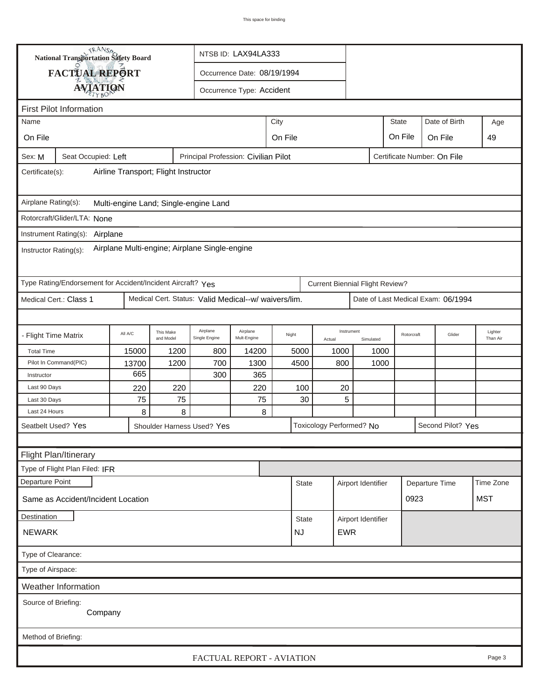| <b>National Transportation Safety Board</b><br>NTSB ID: LAX94LA333                                   |                                                             |         |                        |                                                      |                           |                 |      |                                        |              |  |                                    |                     |
|------------------------------------------------------------------------------------------------------|-------------------------------------------------------------|---------|------------------------|------------------------------------------------------|---------------------------|-----------------|------|----------------------------------------|--------------|--|------------------------------------|---------------------|
| FACTUAL REPORT<br>Occurrence Date: 08/19/1994                                                        |                                                             |         |                        |                                                      |                           |                 |      |                                        |              |  |                                    |                     |
|                                                                                                      | <b>AVIATION</b>                                             |         |                        |                                                      | Occurrence Type: Accident |                 |      |                                        |              |  |                                    |                     |
|                                                                                                      |                                                             |         |                        |                                                      |                           |                 |      |                                        |              |  |                                    |                     |
| Name                                                                                                 | <b>First Pilot Information</b>                              |         |                        |                                                      |                           | City            |      |                                        | <b>State</b> |  | Date of Birth                      | Age                 |
| On File<br>On File<br>On File<br>On File                                                             |                                                             |         |                        |                                                      |                           |                 |      |                                        |              |  |                                    | 49                  |
|                                                                                                      |                                                             |         |                        |                                                      |                           |                 |      |                                        |              |  |                                    |                     |
| Certificate Number: On File<br>Seat Occupied: Left<br>Principal Profession: Civilian Pilot<br>Sex: M |                                                             |         |                        |                                                      |                           |                 |      |                                        |              |  |                                    |                     |
| Airline Transport; Flight Instructor<br>Certificate(s):                                              |                                                             |         |                        |                                                      |                           |                 |      |                                        |              |  |                                    |                     |
| Airplane Rating(s):<br>Multi-engine Land; Single-engine Land                                         |                                                             |         |                        |                                                      |                           |                 |      |                                        |              |  |                                    |                     |
| Rotorcraft/Glider/LTA: None                                                                          |                                                             |         |                        |                                                      |                           |                 |      |                                        |              |  |                                    |                     |
|                                                                                                      | Instrument Rating(s): Airplane                              |         |                        |                                                      |                           |                 |      |                                        |              |  |                                    |                     |
| Airplane Multi-engine; Airplane Single-engine<br>Instructor Rating(s):                               |                                                             |         |                        |                                                      |                           |                 |      |                                        |              |  |                                    |                     |
|                                                                                                      | Type Rating/Endorsement for Accident/Incident Aircraft? Yes |         |                        |                                                      |                           |                 |      | <b>Current Biennial Flight Review?</b> |              |  |                                    |                     |
|                                                                                                      | Medical Cert.: Class 1                                      |         |                        | Medical Cert. Status: Valid Medical--w/ waivers/lim. |                           |                 |      |                                        |              |  | Date of Last Medical Exam: 06/1994 |                     |
|                                                                                                      |                                                             |         |                        |                                                      |                           |                 |      |                                        |              |  |                                    |                     |
| - Flight Time Matrix                                                                                 |                                                             | All A/C | This Make<br>and Model | Airplane<br>Single Engine                            | Airplane<br>Mult-Engine   | Night<br>Actual |      | Instrument<br>Simulated                | Rotorcraft   |  | Glider                             | Lighter<br>Than Air |
| <b>Total Time</b>                                                                                    |                                                             | 15000   | 1200                   | 800                                                  | 14200                     | 5000            | 1000 |                                        | 1000         |  |                                    |                     |
|                                                                                                      | Pilot In Command(PIC)                                       | 13700   | 1200                   | 700                                                  | 1300                      | 4500            | 800  |                                        | 1000         |  |                                    |                     |
| Instructor                                                                                           |                                                             | 665     |                        | 300                                                  | 365                       |                 |      |                                        |              |  |                                    |                     |
| Last 90 Days                                                                                         |                                                             | 220     | 220                    |                                                      | 220                       | 100             | 20   |                                        |              |  |                                    |                     |
| Last 30 Days                                                                                         |                                                             | 75      | 75                     |                                                      | 75                        | 30              |      | 5                                      |              |  |                                    |                     |
| Last 24 Hours                                                                                        |                                                             | 8       | 8                      |                                                      | 8                         |                 |      |                                        |              |  |                                    |                     |
| Seatbelt Used? Yes                                                                                   |                                                             |         |                        | Shoulder Harness Used? Yes                           |                           |                 |      | Toxicology Performed? No               |              |  | Second Pilot? Yes                  |                     |
|                                                                                                      |                                                             |         |                        |                                                      |                           |                 |      |                                        |              |  |                                    |                     |
|                                                                                                      | Flight Plan/Itinerary                                       |         |                        |                                                      |                           |                 |      |                                        |              |  |                                    |                     |
|                                                                                                      | Type of Flight Plan Filed: IFR                              |         |                        |                                                      |                           |                 |      |                                        |              |  |                                    |                     |
| Departure Point<br><b>State</b><br>Airport Identifier<br>Departure Time                              |                                                             |         |                        |                                                      |                           |                 |      |                                        | Time Zone    |  |                                    |                     |
| 0923<br><b>MST</b><br>Same as Accident/Incident Location                                             |                                                             |         |                        |                                                      |                           |                 |      |                                        |              |  |                                    |                     |
| Destination<br><b>State</b><br>Airport Identifier                                                    |                                                             |         |                        |                                                      |                           |                 |      |                                        |              |  |                                    |                     |
| <b>EWR</b><br><b>NEWARK</b><br><b>NJ</b>                                                             |                                                             |         |                        |                                                      |                           |                 |      |                                        |              |  |                                    |                     |
| Type of Clearance:                                                                                   |                                                             |         |                        |                                                      |                           |                 |      |                                        |              |  |                                    |                     |
| Type of Airspace:                                                                                    |                                                             |         |                        |                                                      |                           |                 |      |                                        |              |  |                                    |                     |
|                                                                                                      | Weather Information                                         |         |                        |                                                      |                           |                 |      |                                        |              |  |                                    |                     |
| Source of Briefing:                                                                                  | Company                                                     |         |                        |                                                      |                           |                 |      |                                        |              |  |                                    |                     |
| Method of Briefing:                                                                                  |                                                             |         |                        |                                                      |                           |                 |      |                                        |              |  |                                    |                     |
|                                                                                                      | FACTUAL REPORT - AVIATION<br>Page 3                         |         |                        |                                                      |                           |                 |      |                                        |              |  |                                    |                     |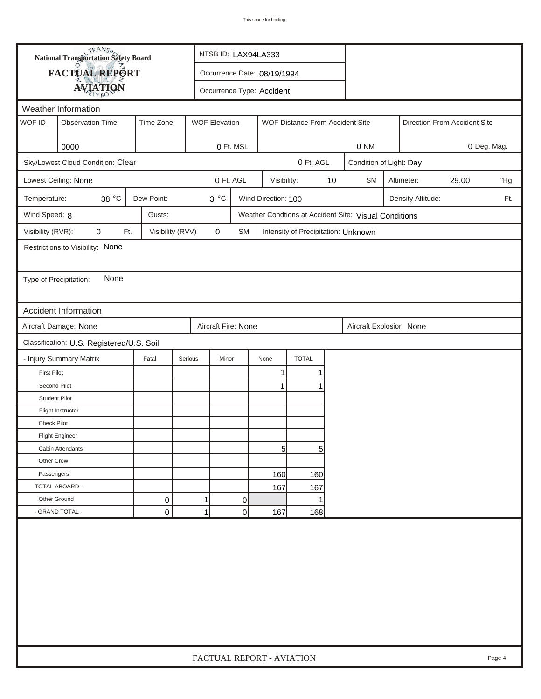| FACTUAL REPORT<br>Occurrence Date: 08/19/1994<br><b>AVIATION</b><br>Occurrence Type: Accident<br>Weather Information<br>WOF ID<br><b>Observation Time</b><br>Time Zone<br><b>WOF Elevation</b><br>WOF Distance From Accident Site<br>Direction From Accident Site<br>0000<br>0 Ft. MSL<br>0 NM<br>0 Deg. Mag.<br>Sky/Lowest Cloud Condition: Clear<br>0 Ft. AGL<br>Condition of Light: Day<br>0 Ft. AGL<br><b>SM</b><br>Lowest Ceiling: None<br>Visibility:<br>10<br>Altimeter:<br>29.00<br>"Hg<br>38 °C<br>Dew Point:<br>3 °C<br>Wind Direction: 100<br>Temperature:<br>Density Altitude:<br>Ft.<br>Wind Speed: 8<br>Gusts:<br>Weather Condtions at Accident Site: Visual Conditions<br>Visibility (RVR):<br>0<br>Visibility (RVV)<br>0<br>Ft.<br>SM<br>Intensity of Precipitation: Unknown<br>Restrictions to Visibility: None<br>None<br>Type of Precipitation:<br>Accident Information<br>Aircraft Damage: None<br>Aircraft Fire: None<br>Aircraft Explosion None<br>Classification: U.S. Registered/U.S. Soil<br>- Injury Summary Matrix<br><b>TOTAL</b><br>Fatal<br>Serious<br>Minor<br>None<br>$\mathbf{1}$<br><b>First Pilot</b><br>1<br>Second Pilot<br>1<br>1<br><b>Student Pilot</b><br>Flight Instructor<br><b>Check Pilot</b><br><b>Flight Engineer</b><br>5 <sup>1</sup><br>5<br>Cabin Attendants<br>Other Crew<br>Passengers<br>160<br>160<br>- TOTAL ABOARD -<br>167<br>167<br>Other Ground<br>0<br>1<br>0<br>1<br>- GRAND TOTAL -<br>0<br>$\mathbf{1}$<br>0<br>167<br>168 |  | <b>National Transportation Safety Board</b> | NTSB ID: LAX94LA333 |  |                           |  |  |  |  |  |  |  |  |        |
|--------------------------------------------------------------------------------------------------------------------------------------------------------------------------------------------------------------------------------------------------------------------------------------------------------------------------------------------------------------------------------------------------------------------------------------------------------------------------------------------------------------------------------------------------------------------------------------------------------------------------------------------------------------------------------------------------------------------------------------------------------------------------------------------------------------------------------------------------------------------------------------------------------------------------------------------------------------------------------------------------------------------------------------------------------------------------------------------------------------------------------------------------------------------------------------------------------------------------------------------------------------------------------------------------------------------------------------------------------------------------------------------------------------------------------------------------------------------------------------------|--|---------------------------------------------|---------------------|--|---------------------------|--|--|--|--|--|--|--|--|--------|
|                                                                                                                                                                                                                                                                                                                                                                                                                                                                                                                                                                                                                                                                                                                                                                                                                                                                                                                                                                                                                                                                                                                                                                                                                                                                                                                                                                                                                                                                                            |  |                                             |                     |  |                           |  |  |  |  |  |  |  |  |        |
|                                                                                                                                                                                                                                                                                                                                                                                                                                                                                                                                                                                                                                                                                                                                                                                                                                                                                                                                                                                                                                                                                                                                                                                                                                                                                                                                                                                                                                                                                            |  |                                             |                     |  |                           |  |  |  |  |  |  |  |  |        |
|                                                                                                                                                                                                                                                                                                                                                                                                                                                                                                                                                                                                                                                                                                                                                                                                                                                                                                                                                                                                                                                                                                                                                                                                                                                                                                                                                                                                                                                                                            |  |                                             |                     |  |                           |  |  |  |  |  |  |  |  |        |
|                                                                                                                                                                                                                                                                                                                                                                                                                                                                                                                                                                                                                                                                                                                                                                                                                                                                                                                                                                                                                                                                                                                                                                                                                                                                                                                                                                                                                                                                                            |  |                                             |                     |  |                           |  |  |  |  |  |  |  |  |        |
|                                                                                                                                                                                                                                                                                                                                                                                                                                                                                                                                                                                                                                                                                                                                                                                                                                                                                                                                                                                                                                                                                                                                                                                                                                                                                                                                                                                                                                                                                            |  |                                             |                     |  |                           |  |  |  |  |  |  |  |  |        |
|                                                                                                                                                                                                                                                                                                                                                                                                                                                                                                                                                                                                                                                                                                                                                                                                                                                                                                                                                                                                                                                                                                                                                                                                                                                                                                                                                                                                                                                                                            |  |                                             |                     |  |                           |  |  |  |  |  |  |  |  |        |
|                                                                                                                                                                                                                                                                                                                                                                                                                                                                                                                                                                                                                                                                                                                                                                                                                                                                                                                                                                                                                                                                                                                                                                                                                                                                                                                                                                                                                                                                                            |  |                                             |                     |  |                           |  |  |  |  |  |  |  |  |        |
|                                                                                                                                                                                                                                                                                                                                                                                                                                                                                                                                                                                                                                                                                                                                                                                                                                                                                                                                                                                                                                                                                                                                                                                                                                                                                                                                                                                                                                                                                            |  |                                             |                     |  |                           |  |  |  |  |  |  |  |  |        |
|                                                                                                                                                                                                                                                                                                                                                                                                                                                                                                                                                                                                                                                                                                                                                                                                                                                                                                                                                                                                                                                                                                                                                                                                                                                                                                                                                                                                                                                                                            |  |                                             |                     |  |                           |  |  |  |  |  |  |  |  |        |
|                                                                                                                                                                                                                                                                                                                                                                                                                                                                                                                                                                                                                                                                                                                                                                                                                                                                                                                                                                                                                                                                                                                                                                                                                                                                                                                                                                                                                                                                                            |  |                                             |                     |  |                           |  |  |  |  |  |  |  |  |        |
|                                                                                                                                                                                                                                                                                                                                                                                                                                                                                                                                                                                                                                                                                                                                                                                                                                                                                                                                                                                                                                                                                                                                                                                                                                                                                                                                                                                                                                                                                            |  |                                             |                     |  |                           |  |  |  |  |  |  |  |  |        |
|                                                                                                                                                                                                                                                                                                                                                                                                                                                                                                                                                                                                                                                                                                                                                                                                                                                                                                                                                                                                                                                                                                                                                                                                                                                                                                                                                                                                                                                                                            |  |                                             |                     |  |                           |  |  |  |  |  |  |  |  |        |
|                                                                                                                                                                                                                                                                                                                                                                                                                                                                                                                                                                                                                                                                                                                                                                                                                                                                                                                                                                                                                                                                                                                                                                                                                                                                                                                                                                                                                                                                                            |  |                                             |                     |  |                           |  |  |  |  |  |  |  |  |        |
|                                                                                                                                                                                                                                                                                                                                                                                                                                                                                                                                                                                                                                                                                                                                                                                                                                                                                                                                                                                                                                                                                                                                                                                                                                                                                                                                                                                                                                                                                            |  |                                             |                     |  |                           |  |  |  |  |  |  |  |  |        |
|                                                                                                                                                                                                                                                                                                                                                                                                                                                                                                                                                                                                                                                                                                                                                                                                                                                                                                                                                                                                                                                                                                                                                                                                                                                                                                                                                                                                                                                                                            |  |                                             |                     |  |                           |  |  |  |  |  |  |  |  |        |
|                                                                                                                                                                                                                                                                                                                                                                                                                                                                                                                                                                                                                                                                                                                                                                                                                                                                                                                                                                                                                                                                                                                                                                                                                                                                                                                                                                                                                                                                                            |  |                                             |                     |  |                           |  |  |  |  |  |  |  |  |        |
|                                                                                                                                                                                                                                                                                                                                                                                                                                                                                                                                                                                                                                                                                                                                                                                                                                                                                                                                                                                                                                                                                                                                                                                                                                                                                                                                                                                                                                                                                            |  |                                             |                     |  |                           |  |  |  |  |  |  |  |  |        |
|                                                                                                                                                                                                                                                                                                                                                                                                                                                                                                                                                                                                                                                                                                                                                                                                                                                                                                                                                                                                                                                                                                                                                                                                                                                                                                                                                                                                                                                                                            |  |                                             |                     |  |                           |  |  |  |  |  |  |  |  |        |
|                                                                                                                                                                                                                                                                                                                                                                                                                                                                                                                                                                                                                                                                                                                                                                                                                                                                                                                                                                                                                                                                                                                                                                                                                                                                                                                                                                                                                                                                                            |  |                                             |                     |  |                           |  |  |  |  |  |  |  |  |        |
|                                                                                                                                                                                                                                                                                                                                                                                                                                                                                                                                                                                                                                                                                                                                                                                                                                                                                                                                                                                                                                                                                                                                                                                                                                                                                                                                                                                                                                                                                            |  |                                             |                     |  |                           |  |  |  |  |  |  |  |  |        |
|                                                                                                                                                                                                                                                                                                                                                                                                                                                                                                                                                                                                                                                                                                                                                                                                                                                                                                                                                                                                                                                                                                                                                                                                                                                                                                                                                                                                                                                                                            |  |                                             |                     |  |                           |  |  |  |  |  |  |  |  |        |
|                                                                                                                                                                                                                                                                                                                                                                                                                                                                                                                                                                                                                                                                                                                                                                                                                                                                                                                                                                                                                                                                                                                                                                                                                                                                                                                                                                                                                                                                                            |  |                                             |                     |  |                           |  |  |  |  |  |  |  |  |        |
|                                                                                                                                                                                                                                                                                                                                                                                                                                                                                                                                                                                                                                                                                                                                                                                                                                                                                                                                                                                                                                                                                                                                                                                                                                                                                                                                                                                                                                                                                            |  |                                             |                     |  |                           |  |  |  |  |  |  |  |  |        |
|                                                                                                                                                                                                                                                                                                                                                                                                                                                                                                                                                                                                                                                                                                                                                                                                                                                                                                                                                                                                                                                                                                                                                                                                                                                                                                                                                                                                                                                                                            |  |                                             |                     |  |                           |  |  |  |  |  |  |  |  |        |
|                                                                                                                                                                                                                                                                                                                                                                                                                                                                                                                                                                                                                                                                                                                                                                                                                                                                                                                                                                                                                                                                                                                                                                                                                                                                                                                                                                                                                                                                                            |  |                                             |                     |  |                           |  |  |  |  |  |  |  |  |        |
|                                                                                                                                                                                                                                                                                                                                                                                                                                                                                                                                                                                                                                                                                                                                                                                                                                                                                                                                                                                                                                                                                                                                                                                                                                                                                                                                                                                                                                                                                            |  |                                             |                     |  |                           |  |  |  |  |  |  |  |  |        |
|                                                                                                                                                                                                                                                                                                                                                                                                                                                                                                                                                                                                                                                                                                                                                                                                                                                                                                                                                                                                                                                                                                                                                                                                                                                                                                                                                                                                                                                                                            |  |                                             |                     |  |                           |  |  |  |  |  |  |  |  |        |
|                                                                                                                                                                                                                                                                                                                                                                                                                                                                                                                                                                                                                                                                                                                                                                                                                                                                                                                                                                                                                                                                                                                                                                                                                                                                                                                                                                                                                                                                                            |  |                                             |                     |  |                           |  |  |  |  |  |  |  |  |        |
|                                                                                                                                                                                                                                                                                                                                                                                                                                                                                                                                                                                                                                                                                                                                                                                                                                                                                                                                                                                                                                                                                                                                                                                                                                                                                                                                                                                                                                                                                            |  |                                             |                     |  |                           |  |  |  |  |  |  |  |  |        |
|                                                                                                                                                                                                                                                                                                                                                                                                                                                                                                                                                                                                                                                                                                                                                                                                                                                                                                                                                                                                                                                                                                                                                                                                                                                                                                                                                                                                                                                                                            |  |                                             |                     |  |                           |  |  |  |  |  |  |  |  |        |
|                                                                                                                                                                                                                                                                                                                                                                                                                                                                                                                                                                                                                                                                                                                                                                                                                                                                                                                                                                                                                                                                                                                                                                                                                                                                                                                                                                                                                                                                                            |  |                                             |                     |  |                           |  |  |  |  |  |  |  |  |        |
|                                                                                                                                                                                                                                                                                                                                                                                                                                                                                                                                                                                                                                                                                                                                                                                                                                                                                                                                                                                                                                                                                                                                                                                                                                                                                                                                                                                                                                                                                            |  |                                             |                     |  | FACTUAL REPORT - AVIATION |  |  |  |  |  |  |  |  | Page 4 |